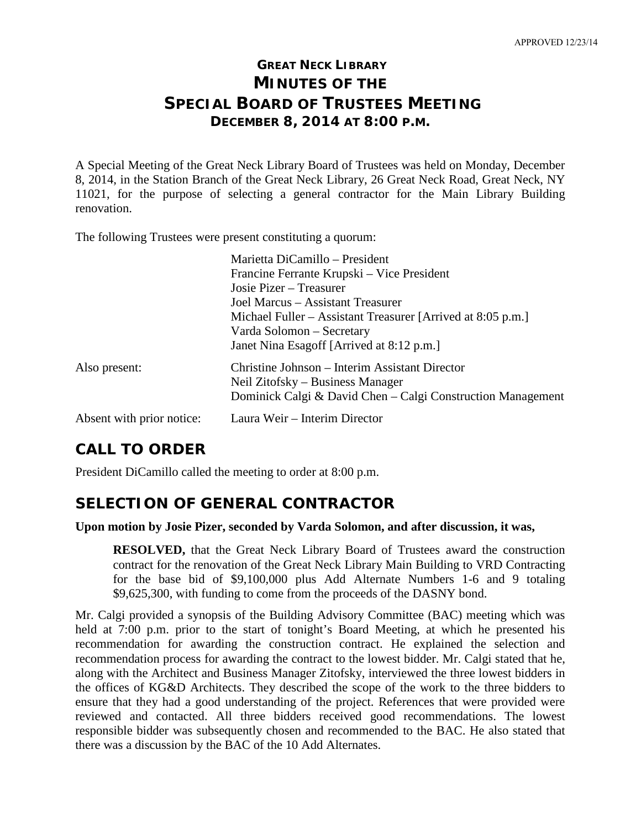# **GREAT NECK LIBRARY MINUTES OF THE SPECIAL BOARD OF TRUSTEES MEETING DECEMBER 8, 2014 AT 8:00 P.M.**

A Special Meeting of the Great Neck Library Board of Trustees was held on Monday, December 8, 2014, in the Station Branch of the Great Neck Library, 26 Great Neck Road, Great Neck, NY 11021, for the purpose of selecting a general contractor for the Main Library Building renovation.

The following Trustees were present constituting a quorum:

|                           | Marietta DiCamillo - President                                                                                                                    |
|---------------------------|---------------------------------------------------------------------------------------------------------------------------------------------------|
|                           | Francine Ferrante Krupski – Vice President                                                                                                        |
|                           | Josie Pizer – Treasurer                                                                                                                           |
|                           | Joel Marcus – Assistant Treasurer                                                                                                                 |
|                           | Michael Fuller – Assistant Treasurer [Arrived at 8:05 p.m.]<br>Varda Solomon – Secretary                                                          |
|                           | Janet Nina Esagoff [Arrived at 8:12 p.m.]                                                                                                         |
| Also present:             | Christine Johnson – Interim Assistant Director<br>Neil Zitofsky – Business Manager<br>Dominick Calgi & David Chen – Calgi Construction Management |
| Absent with prior notice: | Laura Weir - Interim Director                                                                                                                     |

# **CALL TO ORDER**

President DiCamillo called the meeting to order at 8:00 p.m.

### **SELECTION OF GENERAL CONTRACTOR**

#### **Upon motion by Josie Pizer, seconded by Varda Solomon, and after discussion, it was,**

**RESOLVED,** that the Great Neck Library Board of Trustees award the construction contract for the renovation of the Great Neck Library Main Building to VRD Contracting for the base bid of \$9,100,000 plus Add Alternate Numbers 1-6 and 9 totaling \$9,625,300, with funding to come from the proceeds of the DASNY bond.

Mr. Calgi provided a synopsis of the Building Advisory Committee (BAC) meeting which was held at 7:00 p.m. prior to the start of tonight's Board Meeting, at which he presented his recommendation for awarding the construction contract. He explained the selection and recommendation process for awarding the contract to the lowest bidder. Mr. Calgi stated that he, along with the Architect and Business Manager Zitofsky, interviewed the three lowest bidders in the offices of KG&D Architects. They described the scope of the work to the three bidders to ensure that they had a good understanding of the project. References that were provided were reviewed and contacted. All three bidders received good recommendations. The lowest responsible bidder was subsequently chosen and recommended to the BAC. He also stated that there was a discussion by the BAC of the 10 Add Alternates.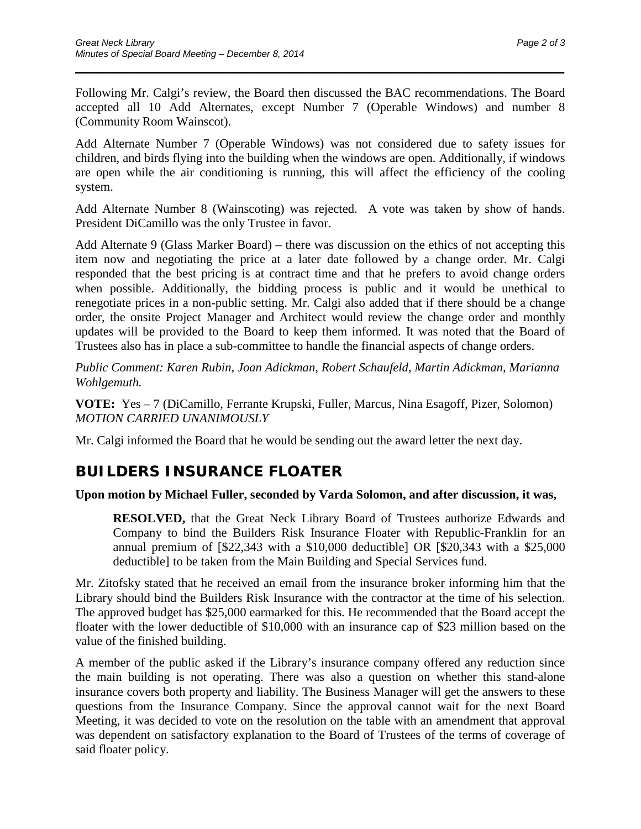Following Mr. Calgi's review, the Board then discussed the BAC recommendations. The Board accepted all 10 Add Alternates, except Number 7 (Operable Windows) and number 8 (Community Room Wainscot).

\_\_\_\_\_\_\_\_\_\_\_\_\_\_\_\_\_\_\_\_\_\_\_\_\_\_\_\_\_\_\_\_\_\_\_\_\_\_\_\_\_\_\_\_\_\_\_\_\_\_\_\_\_\_\_\_\_\_\_\_\_\_\_\_\_\_\_\_\_\_

Add Alternate Number 7 (Operable Windows) was not considered due to safety issues for children, and birds flying into the building when the windows are open. Additionally, if windows are open while the air conditioning is running, this will affect the efficiency of the cooling system.

Add Alternate Number 8 (Wainscoting) was rejected. A vote was taken by show of hands. President DiCamillo was the only Trustee in favor.

Add Alternate 9 (Glass Marker Board) *–* there was discussion on the ethics of not accepting this item now and negotiating the price at a later date followed by a change order. Mr. Calgi responded that the best pricing is at contract time and that he prefers to avoid change orders when possible. Additionally, the bidding process is public and it would be unethical to renegotiate prices in a non-public setting. Mr. Calgi also added that if there should be a change order, the onsite Project Manager and Architect would review the change order and monthly updates will be provided to the Board to keep them informed. It was noted that the Board of Trustees also has in place a sub-committee to handle the financial aspects of change orders.

*Public Comment: Karen Rubin, Joan Adickman, Robert Schaufeld, Martin Adickman, Marianna Wohlgemuth.*

**VOTE:** Yes – 7 (DiCamillo, Ferrante Krupski, Fuller, Marcus, Nina Esagoff, Pizer, Solomon) *MOTION CARRIED UNANIMOUSLY*

Mr. Calgi informed the Board that he would be sending out the award letter the next day.

# **BUILDERS INSURANCE FLOATER**

### **Upon motion by Michael Fuller, seconded by Varda Solomon, and after discussion, it was,**

**RESOLVED,** that the Great Neck Library Board of Trustees authorize Edwards and Company to bind the Builders Risk Insurance Floater with Republic-Franklin for an annual premium of [\$22,343 with a \$10,000 deductible] OR [\$20,343 with a \$25,000 deductible] to be taken from the Main Building and Special Services fund.

Mr. Zitofsky stated that he received an email from the insurance broker informing him that the Library should bind the Builders Risk Insurance with the contractor at the time of his selection. The approved budget has \$25,000 earmarked for this. He recommended that the Board accept the floater with the lower deductible of \$10,000 with an insurance cap of \$23 million based on the value of the finished building.

A member of the public asked if the Library's insurance company offered any reduction since the main building is not operating. There was also a question on whether this stand-alone insurance covers both property and liability. The Business Manager will get the answers to these questions from the Insurance Company. Since the approval cannot wait for the next Board Meeting, it was decided to vote on the resolution on the table with an amendment that approval was dependent on satisfactory explanation to the Board of Trustees of the terms of coverage of said floater policy.